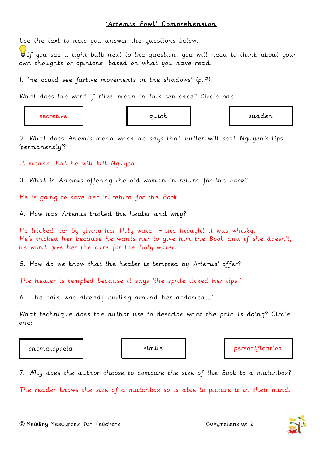## 'Artemis Fowl' Comprehension

Use the text to help you answer the questions below.

If you see a light bulb next to the question, you will need to think about your own thoughts or opinions, based on what you have read.

1. 'He could see furtive movements in the shadows' (p.9)

What does the word 'furtive' mean in this sentence? Circle one:

secretive quick sudden

2. What does Artemis mean when he says that Butler will seal Nguyen's lips 'permanently'?

It means that he will kill Nguyen

3. What is Artemis offering the old woman in return for the Book?

He is going to save her in return for the Book

4. How has Artemis tricked the healer and why?

He tricked her by giving her Holy water – she thought it was whisky. He's tricked her because he wants her to give him the Book and if she doesn't, he won't give her the cure for the Holy water.

5. How do we know that the healer is tempted by Artemis' offer?

The healer is tempted because it says 'the sprite licked her lips.'

6. 'The pain was already curling around her abdomen…'

What technique does the author use to describe what the pain is doing? Circle one:

onomatopoeia simile personification

7. Why does the author choose to compare the size of the Book to a matchbox?

The reader knows the size of a matchbox so is able to picture it in their mind.